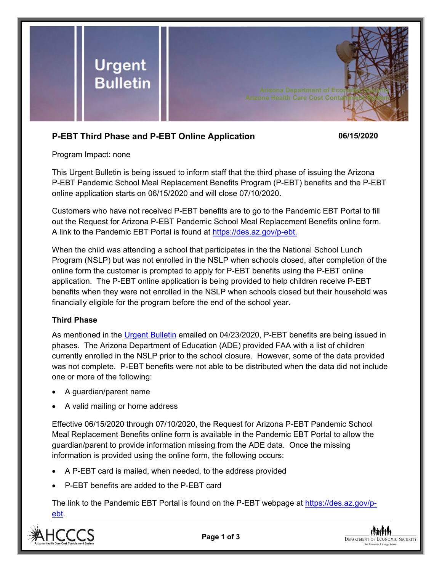

# **P-EBT Third Phase and P-EBT Online Application 06/15/2020**

Program Impact: none

This Urgent Bulletin is being issued to inform staff that the third phase of issuing the Arizona P-EBT Pandemic School Meal Replacement Benefits Program (P-EBT) benefits and the P-EBT online application starts on 06/15/2020 and will close 07/10/2020.

Customers who have not received P-EBT benefits are to go to the Pandemic EBT Portal to fill out the Request for Arizona P-EBT Pandemic School Meal Replacement Benefits online form. A link to the Pandemic EBT Portal is found at [https://des.az.gov/p-ebt.](https://des.az.gov/p-ebt)

When the child was attending a school that participates in the the National School Lunch Program (NSLP) but was not enrolled in the NSLP when schools closed, after completion of the online form the customer is prompted to apply for P-EBT benefits using the P-EBT online application. The P-EBT online application is being provided to help children receive P-EBT benefits when they were not enrolled in the NSLP when schools closed but their household was financially eligible for the program before the end of the school year.

## **Third Phase**

As mentioned in the [Urgent Bulletin](https://dbmefaapolicy.azdes.gov/ARchived_Policy/baggage/Urgent%20Bulletin%20(04-23-2020)%20-%20Arizona%20P-EBT%20Pandemic%20School%20Meal%20Replacement%20Benefits.pdf) emailed on 04/23/2020, P-EBT benefits are being issued in phases. The Arizona Department of Education (ADE) provided FAA with a list of children currently enrolled in the NSLP prior to the school closure. However, some of the data provided was not complete. P-EBT benefits were not able to be distributed when the data did not include one or more of the following:

- A guardian/parent name
- A valid mailing or home address

Effective 06/15/2020 through 07/10/2020, the Request for Arizona P-EBT Pandemic School Meal Replacement Benefits online form is available in the Pandemic EBT Portal to allow the guardian/parent to provide information missing from the ADE data. Once the missing information is provided using the online form, the following occurs:

- A P-EBT card is mailed, when needed, to the address provided
- P-EBT benefits are added to the P-EBT card

The link to the Pandemic EBT Portal is found on the P-EBT webpage at [https://des.az.gov/p](https://des.az.gov/p-ebt)[ebt.](https://des.az.gov/p-ebt)



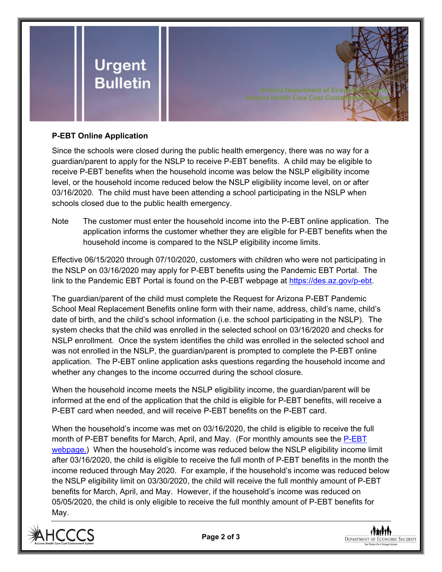

## **P-EBT Online Application**

Since the schools were closed during the public health emergency, there was no way for a guardian/parent to apply for the NSLP to receive P-EBT benefits. A child may be eligible to receive P-EBT benefits when the household income was below the NSLP eligibility income level, or the household income reduced below the NSLP eligibility income level, on or after 03/16/2020. The child must have been attending a school participating in the NSLP when schools closed due to the public health emergency.

**Arizona Department of Eco Arizona Health Care Cost Contait** 

Note The customer must enter the household income into the P-EBT online application. The application informs the customer whether they are eligible for P-EBT benefits when the household income is compared to the NSLP eligibility income limits.

Effective 06/15/2020 through 07/10/2020, customers with children who were not participating in the NSLP on 03/16/2020 may apply for P-EBT benefits using the Pandemic EBT Portal. The link to the Pandemic EBT Portal is found on the P-EBT webpage at [https://des.az.gov/p-ebt.](https://des.az.gov/p-ebt)

The guardian/parent of the child must complete the Request for Arizona P-EBT Pandemic School Meal Replacement Benefits online form with their name, address, child's name, child's date of birth, and the child's school information (i.e. the school participating in the NSLP). The system checks that the child was enrolled in the selected school on 03/16/2020 and checks for NSLP enrollment. Once the system identifies the child was enrolled in the selected school and was not enrolled in the NSLP, the guardian/parent is prompted to complete the P-EBT online application. The P-EBT online application asks questions regarding the household income and whether any changes to the income occurred during the school closure.

When the household income meets the NSLP eligibility income, the guardian/parent will be informed at the end of the application that the child is eligible for P-EBT benefits, will receive a P-EBT card when needed, and will receive P-EBT benefits on the P-EBT card.

When the household's income was met on 03/16/2020, the child is eligible to receive the full month of P-EBT benefits for March, April, and May. (For monthly amounts see the [P-EBT](https://des.az.gov/p-ebt)  [webpage.](https://des.az.gov/p-ebt)) When the household's income was reduced below the NSLP eligibility income limit after 03/16/2020, the child is eligible to receive the full month of P-EBT benefits in the month the income reduced through May 2020. For example, if the household's income was reduced below the NSLP eligibility limit on 03/30/2020, the child will receive the full monthly amount of P-EBT benefits for March, April, and May. However, if the household's income was reduced on 05/05/2020, the child is only eligible to receive the full monthly amount of P-EBT benefits for May.